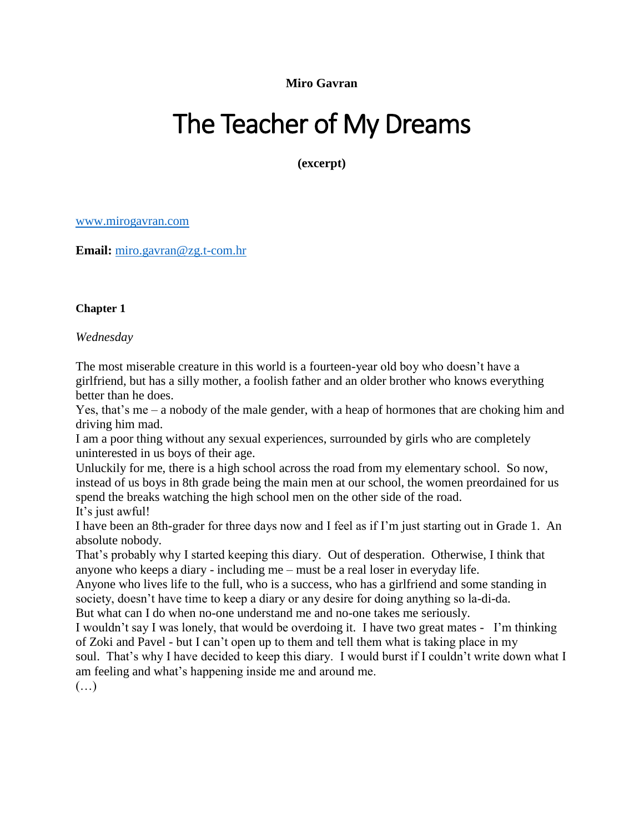**Miro Gavran**

## The Teacher of My Dreams

**(excerpt)**

[www.mirogavran.com](http://www.mirogavran.com/)

**Email:** [miro.gavran@zg.t-com.hr](mailto:miro.gavran@zg.t-com.hr)

## **Chapter 1**

*Wednesday*

The most miserable creature in this world is a fourteen-year old boy who doesn't have a girlfriend, but has a silly mother, a foolish father and an older brother who knows everything better than he does.

Yes, that's me – a nobody of the male gender, with a heap of hormones that are choking him and driving him mad.

I am a poor thing without any sexual experiences, surrounded by girls who are completely uninterested in us boys of their age.

Unluckily for me, there is a high school across the road from my elementary school. So now, instead of us boys in 8th grade being the main men at our school, the women preordained for us spend the breaks watching the high school men on the other side of the road. It's just awful!

I have been an 8th-grader for three days now and I feel as if I'm just starting out in Grade 1. An absolute nobody.

That's probably why I started keeping this diary. Out of desperation. Otherwise, I think that anyone who keeps a diary - including me – must be a real loser in everyday life.

Anyone who lives life to the full, who is a success, who has a girlfriend and some standing in society, doesn't have time to keep a diary or any desire for doing anything so la-di-da. But what can I do when no-one understand me and no-one takes me seriously.

I wouldn't say I was lonely, that would be overdoing it. I have two great mates - I'm thinking of Zoki and Pavel - but I can't open up to them and tell them what is taking place in my soul. That's why I have decided to keep this diary. I would burst if I couldn't write down what I am feeling and what's happening inside me and around me.

 $(\ldots)$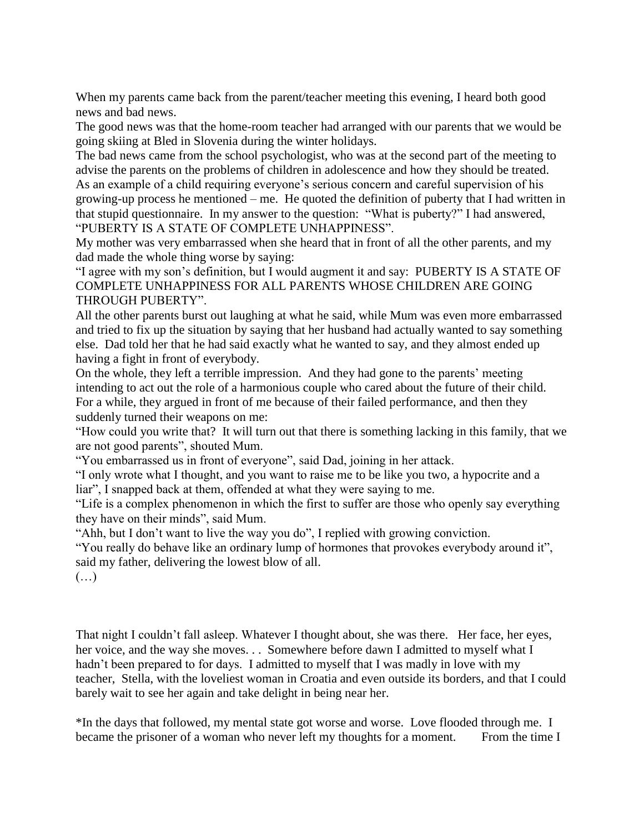When my parents came back from the parent/teacher meeting this evening, I heard both good news and bad news.

The good news was that the home-room teacher had arranged with our parents that we would be going skiing at Bled in Slovenia during the winter holidays.

The bad news came from the school psychologist, who was at the second part of the meeting to advise the parents on the problems of children in adolescence and how they should be treated. As an example of a child requiring everyone's serious concern and careful supervision of his growing-up process he mentioned – me. He quoted the definition of puberty that I had written in that stupid questionnaire. In my answer to the question: "What is puberty?" I had answered, "PUBERTY IS A STATE OF COMPLETE UNHAPPINESS".

My mother was very embarrassed when she heard that in front of all the other parents, and my dad made the whole thing worse by saying:

"I agree with my son's definition, but I would augment it and say: PUBERTY IS A STATE OF COMPLETE UNHAPPINESS FOR ALL PARENTS WHOSE CHILDREN ARE GOING THROUGH PUBERTY".

All the other parents burst out laughing at what he said, while Mum was even more embarrassed and tried to fix up the situation by saying that her husband had actually wanted to say something else. Dad told her that he had said exactly what he wanted to say, and they almost ended up having a fight in front of everybody.

On the whole, they left a terrible impression. And they had gone to the parents' meeting intending to act out the role of a harmonious couple who cared about the future of their child. For a while, they argued in front of me because of their failed performance, and then they suddenly turned their weapons on me:

"How could you write that? It will turn out that there is something lacking in this family, that we are not good parents", shouted Mum.

"You embarrassed us in front of everyone", said Dad, joining in her attack.

"I only wrote what I thought, and you want to raise me to be like you two, a hypocrite and a liar", I snapped back at them, offended at what they were saying to me.

"Life is a complex phenomenon in which the first to suffer are those who openly say everything they have on their minds", said Mum.

"Ahh, but I don't want to live the way you do", I replied with growing conviction.

"You really do behave like an ordinary lump of hormones that provokes everybody around it", said my father, delivering the lowest blow of all.

 $(\ldots)$ 

That night I couldn't fall asleep. Whatever I thought about, she was there. Her face, her eyes, her voice, and the way she moves. . . Somewhere before dawn I admitted to myself what I hadn't been prepared to for days. I admitted to myself that I was madly in love with my teacher, Stella, with the loveliest woman in Croatia and even outside its borders, and that I could barely wait to see her again and take delight in being near her.

\*In the days that followed, my mental state got worse and worse. Love flooded through me. I became the prisoner of a woman who never left my thoughts for a moment. From the time I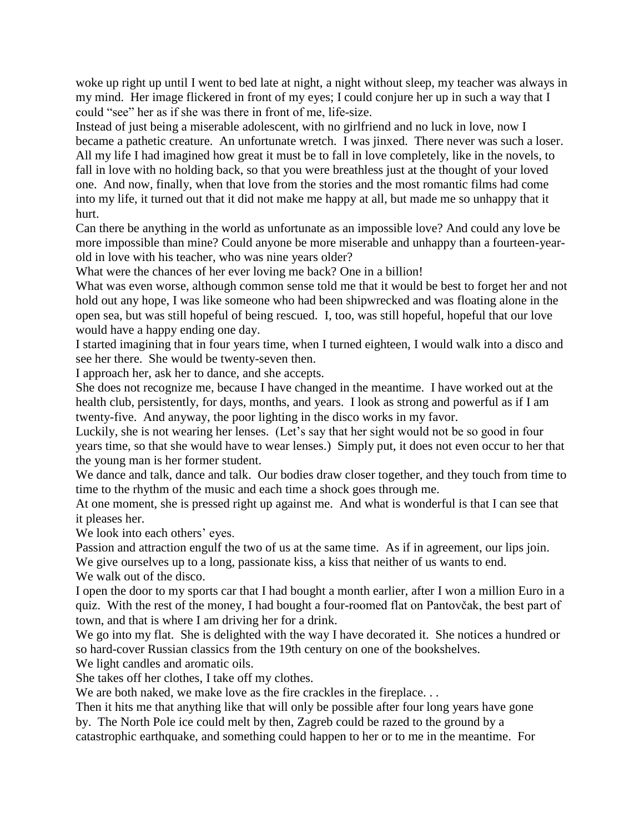woke up right up until I went to bed late at night, a night without sleep, my teacher was always in my mind. Her image flickered in front of my eyes; I could conjure her up in such a way that I could "see" her as if she was there in front of me, life-size.

Instead of just being a miserable adolescent, with no girlfriend and no luck in love, now I became a pathetic creature. An unfortunate wretch. I was jinxed. There never was such a loser. All my life I had imagined how great it must be to fall in love completely, like in the novels, to fall in love with no holding back, so that you were breathless just at the thought of your loved one. And now, finally, when that love from the stories and the most romantic films had come into my life, it turned out that it did not make me happy at all, but made me so unhappy that it hurt.

Can there be anything in the world as unfortunate as an impossible love? And could any love be more impossible than mine? Could anyone be more miserable and unhappy than a fourteen-yearold in love with his teacher, who was nine years older?

What were the chances of her ever loving me back? One in a billion!

What was even worse, although common sense told me that it would be best to forget her and not hold out any hope, I was like someone who had been shipwrecked and was floating alone in the open sea, but was still hopeful of being rescued. I, too, was still hopeful, hopeful that our love would have a happy ending one day.

I started imagining that in four years time, when I turned eighteen, I would walk into a disco and see her there. She would be twenty-seven then.

I approach her, ask her to dance, and she accepts.

She does not recognize me, because I have changed in the meantime. I have worked out at the health club, persistently, for days, months, and years. I look as strong and powerful as if I am twenty-five. And anyway, the poor lighting in the disco works in my favor.

Luckily, she is not wearing her lenses. (Let's say that her sight would not be so good in four years time, so that she would have to wear lenses.) Simply put, it does not even occur to her that the young man is her former student.

We dance and talk, dance and talk. Our bodies draw closer together, and they touch from time to time to the rhythm of the music and each time a shock goes through me.

At one moment, she is pressed right up against me. And what is wonderful is that I can see that it pleases her.

We look into each others' eyes.

Passion and attraction engulf the two of us at the same time. As if in agreement, our lips join.

We give ourselves up to a long, passionate kiss, a kiss that neither of us wants to end.

We walk out of the disco.

I open the door to my sports car that I had bought a month earlier, after I won a million Euro in a quiz. With the rest of the money, I had bought a four-roomed flat on Pantovčak, the best part of town, and that is where I am driving her for a drink.

We go into my flat. She is delighted with the way I have decorated it. She notices a hundred or so hard-cover Russian classics from the 19th century on one of the bookshelves.

We light candles and aromatic oils.

She takes off her clothes, I take off my clothes.

We are both naked, we make love as the fire crackles in the fireplace...

Then it hits me that anything like that will only be possible after four long years have gone

by. The North Pole ice could melt by then, Zagreb could be razed to the ground by a catastrophic earthquake, and something could happen to her or to me in the meantime. For